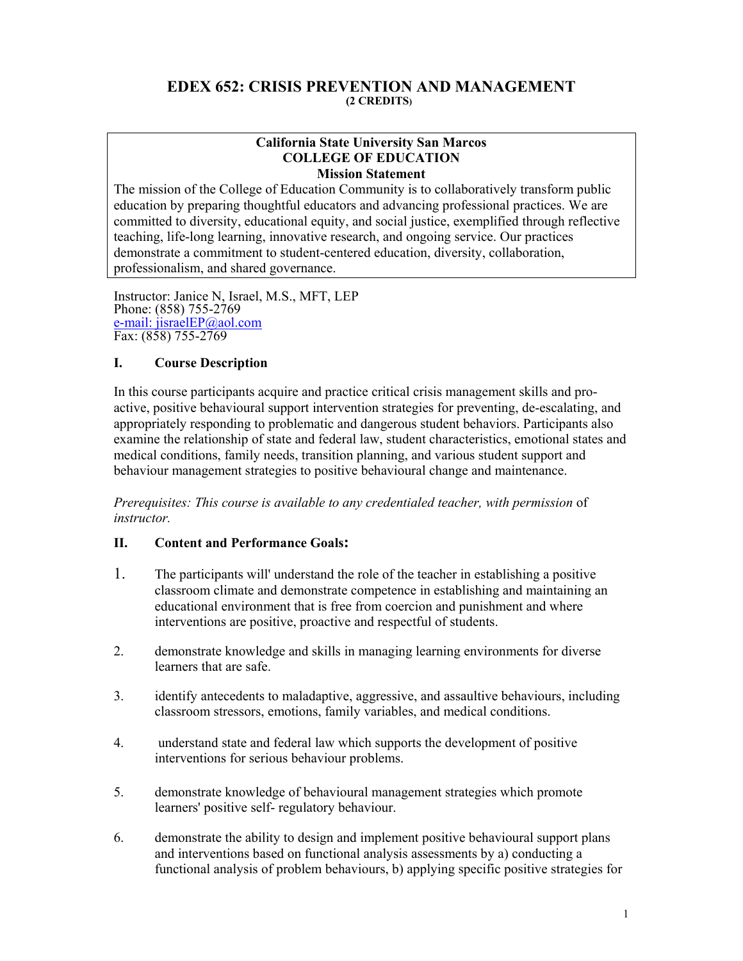#### **EDEX 652: CRISIS PREVENTION AND MANAGEMENT (2 CREDITS)**

#### **California State University San Marcos COLLEGE OF EDUCATION Mission Statement**

The mission of the College of Education Community is to collaboratively transform public education by preparing thoughtful educators and advancing professional practices. We are committed to diversity, educational equity, and social justice, exemplified through reflective teaching, life-long learning, innovative research, and ongoing service. Our practices demonstrate a commitment to student-centered education, diversity, collaboration, professionalism, and shared governance.

Instructor: Janice N, Israel, M.S., MFT, LEP Phone: (858) 755-2769 e-mail: jisraelEP@aol.com Fax: (858) 755-2769

## **I. Course Description**

In this course participants acquire and practice critical crisis management skills and proactive, positive behavioural support intervention strategies for preventing, de-escalating, and appropriately responding to problematic and dangerous student behaviors. Participants also examine the relationship of state and federal law, student characteristics, emotional states and medical conditions, family needs, transition planning, and various student support and behaviour management strategies to positive behavioural change and maintenance.

*Prerequisites: This course is available to any credentialed teacher, with permission* of *instructor.* 

#### **II. Content and Performance Goals:**

- 1. The participants will' understand the role of the teacher in establishing a positive classroom climate and demonstrate competence in establishing and maintaining an educational environment that is free from coercion and punishment and where interventions are positive, proactive and respectful of students.
- 2. demonstrate knowledge and skills in managing learning environments for diverse learners that are safe.
- 3. identify antecedents to maladaptive, aggressive, and assaultive behaviours, including classroom stressors, emotions, family variables, and medical conditions.
- 4. understand state and federal law which supports the development of positive interventions for serious behaviour problems.
- 5. demonstrate knowledge of behavioural management strategies which promote learners' positive self- regulatory behaviour.
- 6. demonstrate the ability to design and implement positive behavioural support plans and interventions based on functional analysis assessments by a) conducting a functional analysis of problem behaviours, b) applying specific positive strategies for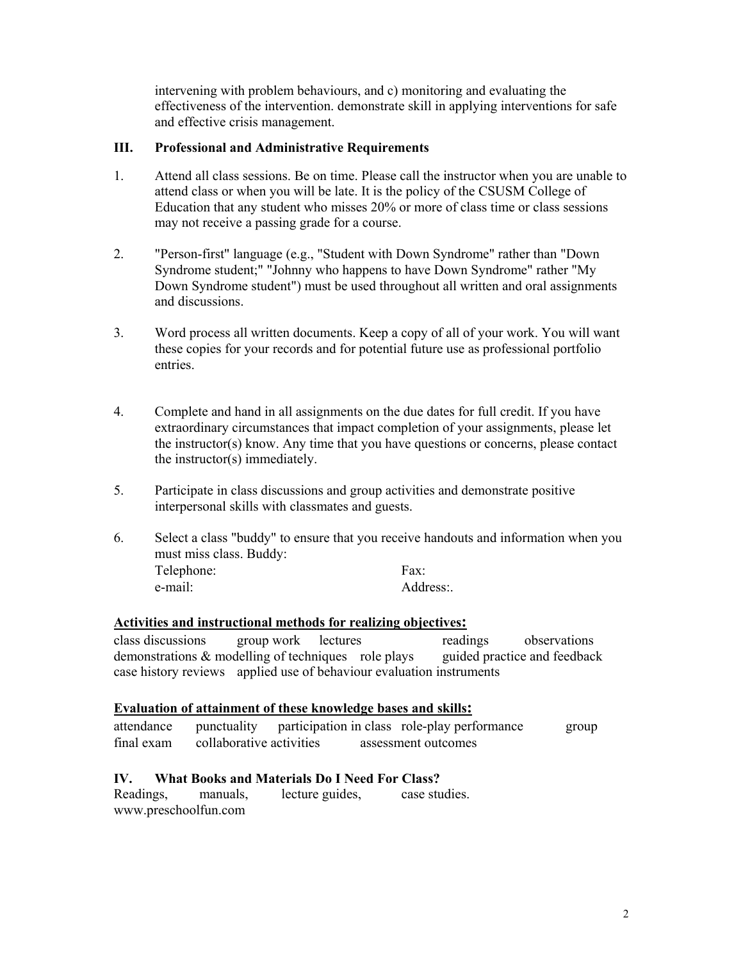intervening with problem behaviours, and c) monitoring and evaluating the effectiveness of the intervention. demonstrate skill in applying interventions for safe and effective crisis management.

#### **III. Professional and Administrative Requirements**

- 1. Attend all class sessions. Be on time. Please call the instructor when you are unable to attend class or when you will be late. It is the policy of the CSUSM College of Education that any student who misses 20% or more of class time or class sessions may not receive a passing grade for a course.
- 2. "Person-first" language (e.g., "Student with Down Syndrome" rather than "Down Syndrome student;" "Johnny who happens to have Down Syndrome" rather "My Down Syndrome student") must be used throughout all written and oral assignments and discussions.
- 3. Word process all written documents. Keep a copy of all of your work. You will want these copies for your records and for potential future use as professional portfolio entries.
- 4. Complete and hand in all assignments on the due dates for full credit. If you have extraordinary circumstances that impact completion of your assignments, please let the instructor(s) know. Any time that you have questions or concerns, please contact the instructor(s) immediately.
- 5. Participate in class discussions and group activities and demonstrate positive interpersonal skills with classmates and guests.
- 6. Select a class "buddy" to ensure that you receive handouts and information when you must miss class. Buddy: Telephone: Fax: e-mail: Address: Address:

#### **Activities and instructional methods for realizing objectives:**

class discussions group work lectures readings observations demonstrations & modelling of techniques role plays guided practice and feedback case history reviews applied use of behaviour evaluation instruments

#### **Evaluation of attainment of these knowledge bases and skills:**

| attendance | punctuality              |  | participation in class role-play performance | group |
|------------|--------------------------|--|----------------------------------------------|-------|
| final exam | collaborative activities |  | assessment outcomes                          |       |

#### **IV. What Books and Materials Do I Need For Class?**

Readings, manuals, lecture guides, case studies. www.preschoolfun.com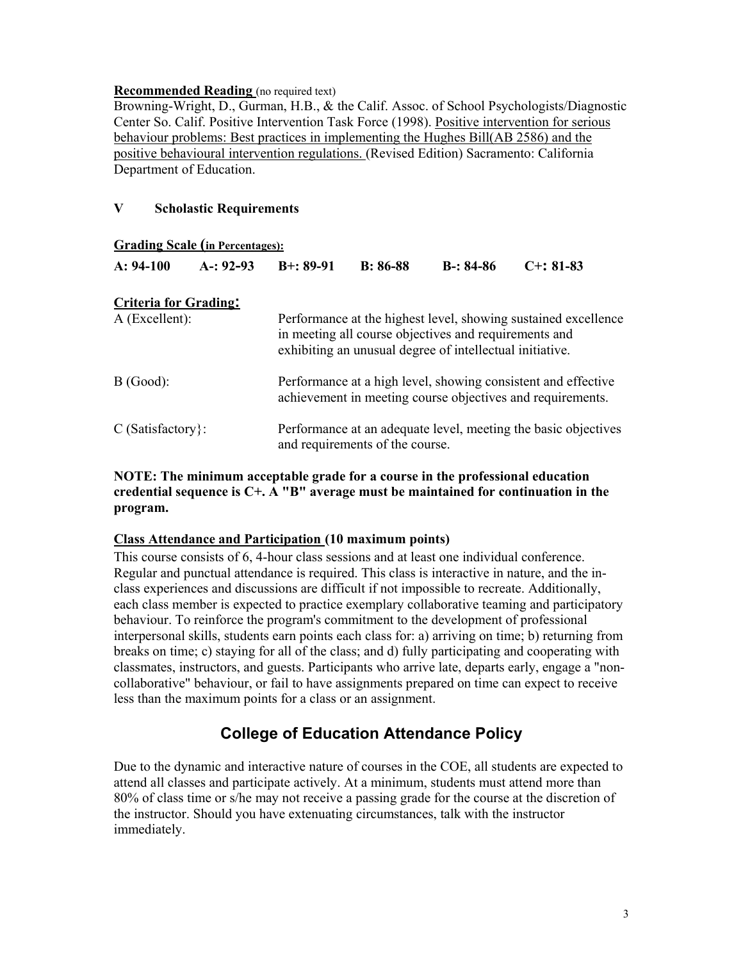#### **Recommended Reading** (no required text)

Browning-Wright, D., Gurman, H.B., & the Calif. Assoc. of School Psychologists/Diagnostic Center So. Calif. Positive Intervention Task Force (1998). Positive intervention for serious behaviour problems: Best practices in implementing the Hughes Bill(AB 2586) and the positive behavioural intervention regulations. (Revised Edition) Sacramento: California Department of Education.

#### **V Scholastic Requirements**

| <b>Grading Scale (in Percentages):</b> |             |                                                                                                                                                                                     |            |             |                                                                |  |
|----------------------------------------|-------------|-------------------------------------------------------------------------------------------------------------------------------------------------------------------------------------|------------|-------------|----------------------------------------------------------------|--|
| $A: 94-100$                            | $A-: 92-93$ | $B+: 89-91$                                                                                                                                                                         | $B: 86-88$ | $B-: 84-86$ | $C_{+}$ : 81-83                                                |  |
| <b>Criteria for Grading:</b>           |             |                                                                                                                                                                                     |            |             |                                                                |  |
| $A$ (Excellent):                       |             | Performance at the highest level, showing sustained excellence<br>in meeting all course objectives and requirements and<br>exhibiting an unusual degree of intellectual initiative. |            |             |                                                                |  |
| B(Good):                               |             | Performance at a high level, showing consistent and effective<br>achievement in meeting course objectives and requirements.                                                         |            |             |                                                                |  |
| $C$ (Satisfactory):                    |             |                                                                                                                                                                                     |            |             | Performance at an adequate level, meeting the basic objectives |  |

## **NOTE: The minimum acceptable grade for a course in the professional education credential sequence is C+. A "B" average must be maintained for continuation in the program.**

and requirements of the course.

#### **Class Attendance and Participation (10 maximum points)**

This course consists of 6, 4-hour class sessions and at least one individual conference. Regular and punctual attendance is required. This class is interactive in nature, and the inclass experiences and discussions are difficult if not impossible to recreate. Additionally, each class member is expected to practice exemplary collaborative teaming and participatory behaviour. To reinforce the program's commitment to the development of professional interpersonal skills, students earn points each class for: a) arriving on time; b) returning from breaks on time; c) staying for all of the class; and d) fully participating and cooperating with classmates, instructors, and guests. Participants who arrive late, departs early, engage a "noncollaborative" behaviour, or fail to have assignments prepared on time can expect to receive less than the maximum points for a class or an assignment.

# **College of Education Attendance Policy**

Due to the dynamic and interactive nature of courses in the COE, all students are expected to attend all classes and participate actively. At a minimum, students must attend more than 80% of class time or s/he may not receive a passing grade for the course at the discretion of the instructor. Should you have extenuating circumstances, talk with the instructor immediately.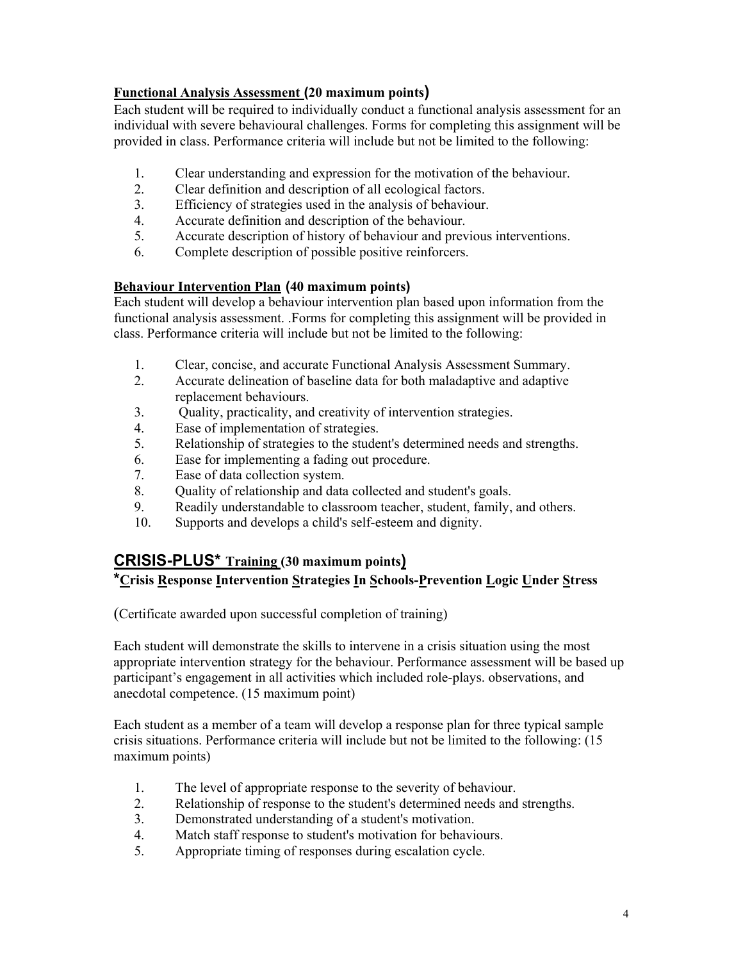## **Functional Analysis Assessment (20 maximum points)**

Each student will be required to individually conduct a functional analysis assessment for an individual with severe behavioural challenges. Forms for completing this assignment will be provided in class. Performance criteria will include but not be limited to the following:

- 1. Clear understanding and expression for the motivation of the behaviour.
- 2. Clear definition and description of all ecological factors.
- 3. Efficiency of strategies used in the analysis of behaviour.
- 4. Accurate definition and description of the behaviour.
- 5. Accurate description of history of behaviour and previous interventions.
- 6. Complete description of possible positive reinforcers.

## **Behaviour Intervention Plan (40 maximum points)**

Each student will develop a behaviour intervention plan based upon information from the functional analysis assessment. .Forms for completing this assignment will be provided in class. Performance criteria will include but not be limited to the following:

- 1. Clear, concise, and accurate Functional Analysis Assessment Summary.<br>2. Accurate delineation of baseline data for both maladantive and adaptive
- 2. Accurate delineation of baseline data for both maladaptive and adaptive replacement behaviours.
- 3. Quality, practicality, and creativity of intervention strategies.
- 4. Ease of implementation of strategies.
- 5. Relationship of strategies to the student's determined needs and strengths.
- 6. Ease for implementing a fading out procedure.
- 7. Ease of data collection system.
- 8. Quality of relationship and data collected and student's goals.
- 9. Readily understandable to classroom teacher, student, family, and others.
- 10. Supports and develops a child's self-esteem and dignity.

# **CRISIS-PLUS\* Training (30 maximum points)**

# **\*Crisis Response Intervention Strategies In Schools-Prevention Logic Under Stress**

(Certificate awarded upon successful completion of training)

Each student will demonstrate the skills to intervene in a crisis situation using the most appropriate intervention strategy for the behaviour. Performance assessment will be based up participant's engagement in all activities which included role-plays. observations, and anecdotal competence. (15 maximum point)

Each student as a member of a team will develop a response plan for three typical sample crisis situations. Performance criteria will include but not be limited to the following: (15 maximum points)

- 1. The level of appropriate response to the severity of behaviour.
- 2. Relationship of response to the student's determined needs and strengths.
- 3. Demonstrated understanding of a student's motivation.
- 4. Match staff response to student's motivation for behaviours.
- 5. Appropriate timing of responses during escalation cycle.